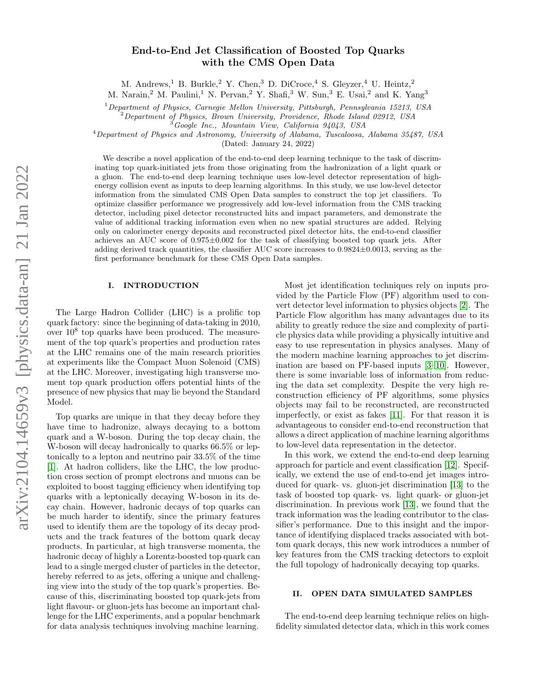# End-to-End Jet Classification of Boosted Top Quarks with the CMS Open Data

M. Andrews,<sup>1</sup> B. Burkle,<sup>2</sup> Y. Chen,<sup>3</sup> D. DiCroce,<sup>4</sup> S. Gleyzer,<sup>4</sup> U. Heintz,<sup>2</sup>

M. Narain,<sup>2</sup> M. Paulini,<sup>1</sup> N. Pervan,<sup>2</sup> Y. Shafi,<sup>3</sup> W. Sun,<sup>3</sup> E. Usai,<sup>2</sup> and K. Yang<sup>3</sup>

 $1$ Department of Physics, Carnegie Mellon University, Pittsburgh, Pennsylvania 15213, USA

<sup>2</sup>Department of Physics, Brown University, Providence, Rhode Island 02912, USA

 $^3G$ oogle Inc., Mountain View, California 94043, USA

<sup>4</sup>Department of Physics and Astronomy, University of Alabama, Tuscaloosa, Alabama 35487, USA

(Dated: January 24, 2022)

We describe a novel application of the end-to-end deep learning technique to the task of discriminating top quark-initiated jets from those originating from the hadronization of a light quark or a gluon. The end-to-end deep learning technique uses low-level detector representation of highenergy collision event as inputs to deep learning algorithms. In this study, we use low-level detector information from the simulated CMS Open Data samples to construct the top jet classifiers. To optimize classifier performance we progressively add low-level information from the CMS tracking detector, including pixel detector reconstructed hits and impact parameters, and demonstrate the value of additional tracking information even when no new spatial structures are added. Relying only on calorimeter energy deposits and reconstructed pixel detector hits, the end-to-end classifier achieves an AUC score of  $0.975\pm0.002$  for the task of classifying boosted top quark jets. After adding derived track quantities, the classifier AUC score increases to 0.9824±0.0013, serving as the first performance benchmark for these CMS Open Data samples.

# I. INTRODUCTION

The Large Hadron Collider (LHC) is a prolific top quark factory: since the beginning of data-taking in 2010, over  $10^8$  top quarks have been produced. The measurement of the top quark's properties and production rates at the LHC remains one of the main research priorities at experiments like the Compact Muon Solenoid (CMS) at the LHC. Moreover, investigating high transverse moment top quark production offers potential hints of the presence of new physics that may lie beyond the Standard Model.

Top quarks are unique in that they decay before they have time to hadronize, always decaying to a bottom quark and a W-boson. During the top decay chain, the W-boson will decay hadronically to quarks 66.5% or leptonically to a lepton and neutrino pair 33.5% of the time [\[1\]](#page-6-0). At hadron colliders, like the LHC, the low production cross section of prompt electrons and muons can be exploited to boost tagging efficiency when identifying top quarks with a leptonically decaying W-boson in its decay chain. However, hadronic decays of top quarks can be much harder to identify, since the primary features used to identify them are the topology of its decay products and the track features of the bottom quark decay products. In particular, at high transverse momenta, the hadronic decay of highly a Lorentz-boosted top quark can lead to a single merged cluster of particles in the detector, hereby referred to as jets, offering a unique and challenging view into the study of the top quark's properties. Because of this, discriminating boosted top quark-jets from light flavour- or gluon-jets has become an important challenge for the LHC experiments, and a popular benchmark for data analysis techniques involving machine learning.

Most jet identification techniques rely on inputs provided by the Particle Flow (PF) algorithm used to convert detector level information to physics objects [\[2\]](#page-6-1). The Particle Flow algorithm has many advantages due to its ability to greatly reduce the size and complexity of particle physics data while providing a physically intuitive and easy to use representation in physics analyses. Many of the modern machine learning approaches to jet discrimination are based on PF-based inputs [\[3–](#page-6-2)[10\]](#page-7-0). However, there is some invariable loss of information from reducing the data set complexity. Despite the very high reconstruction efficiency of PF algorithms, some physics objects may fail to be reconstructed, are reconstructed imperfectly, or exist as fakes [\[11\]](#page-7-1). For that reason it is advantageous to consider end-to-end reconstruction that allows a direct application of machine learning algorithms to low-level data representation in the detector.

In this work, we extend the end-to-end deep learning approach for particle and event classification [\[12\]](#page-7-2). Specifically, we extend the use of end-to-end jet images introduced for quark- vs. gluon-jet discrimination [\[13\]](#page-7-3) to the task of boosted top quark- vs. light quark- or gluon-jet discrimination. In previous work [\[13\]](#page-7-3), we found that the track information was the leading contributor to the classifier's performance. Due to this insight and the importance of identifying displaced tracks associated with bottom quark decays, this new work introduces a number of key features from the CMS tracking detectors to exploit the full topology of hadronically decaying top quarks.

# II. OPEN DATA SIMULATED SAMPLES

The end-to-end deep learning technique relies on highfidelity simulated detector data, which in this work comes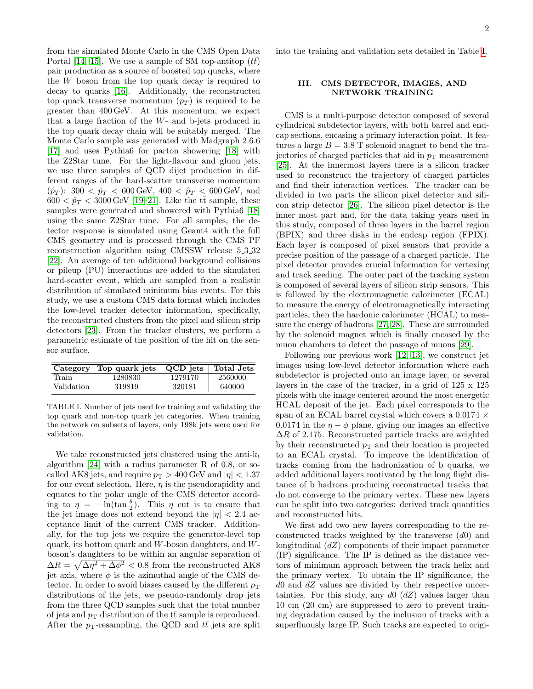from the simulated Monte Carlo in the CMS Open Data Portal [\[14,](#page-7-4) [15\]](#page-7-5). We use a sample of SM top-antitop  $(t\bar{t})$ pair production as a source of boosted top quarks, where the W boson from the top quark decay is required to decay to quarks [\[16\]](#page-7-6). Additionally, the reconstructed top quark transverse momentum  $(p_T)$  is required to be greater than 400 GeV. At this momentum, we expect that a large fraction of the W- and b-jets produced in the top quark decay chain will be suitably merged. The Monte Carlo sample was generated with Madgraph 2.6.6 [\[17\]](#page-7-7) and uses Pythia6 for parton showering [\[18\]](#page-7-8) with the Z2Star tune. For the light-flavour and gluon jets, we use three samples of QCD dijet production in different ranges of the hard-scatter transverse momentum  $(\hat{p}_T)$ : 300 <  $\hat{p}_T$  < 600 GeV, 400 <  $\hat{p}_T$  < 600 GeV, and  $600 < \hat{p}_T < 3000 \,\text{GeV}$  [\[19–](#page-7-9)[21\]](#page-7-10). Like the  $t\bar{t}$  sample, these samples were generated and showered with Pythia6 [\[18\]](#page-7-8) using the same Z2Star tune. For all samples, the detector response is simulated using Geant4 with the full CMS geometry and is processed through the CMS PF reconstruction algorithm using CMSSW release 5 3 32 [\[22\]](#page-7-11). An average of ten additional background collisions or pileup (PU) interactions are added to the simulated hard-scatter event, which are sampled from a realistic distribution of simulated minimum bias events. For this study, we use a custom CMS data format which includes the low-level tracker detector information, specifically, the reconstructed clusters from the pixel and silicon strip detectors [\[23\]](#page-7-12). From the tracker clusters, we perform a parametric estimate of the position of the hit on the sensor surface.

| Category   | Top quark jets | QCD jets | Total Jets |
|------------|----------------|----------|------------|
| Train      | 1280830        | 1279170  | 2560000    |
| Validation | 319819         | 320181   | 640000     |

<span id="page-1-0"></span>TABLE I. Number of jets used for training and validating the top quark and non-top quark jet categories. When training the network on subsets of layers, only 198k jets were used for validation.

We take reconstructed jets clustered using the anti- $k_t$ algorithm [\[24\]](#page-7-13) with a radius parameter R of 0.8, or socalled AK8 jets, and require  $p_T > 400$  GeV and  $|\eta| < 1.37$ for our event selection. Here,  $\eta$  is the pseudorapidity and equates to the polar angle of the CMS detector according to  $\eta = -\ln(\tan\frac{\theta}{2})$ . This  $\eta$  cut is to ensure that the jet image does not extend beyond the  $|\eta| < 2.4$  acceptance limit of the current CMS tracker. Additionally, for the top jets we require the generator-level top quark, its bottom quark and  $W$ -boson daughters, and  $W$ boson's daughters to be within an angular separation of  $\Delta R = \sqrt{\Delta \eta^2 + \Delta \phi^2} < 0.8$  from the reconstructed AK8 jet axis, where  $\phi$  is the azimuthal angle of the CMS detector. In order to avoid biases caused by the different  $p_T$ distributions of the jets, we pseudo-randomly drop jets from the three QCD samples such that the total number of jets and  $p_T$  distribution of the tt sample is reproduced. After the  $p_T$ -resampling, the QCD and  $t\bar{t}$  jets are split

into the training and validation sets detailed in Table [I.](#page-1-0)

# III. CMS DETECTOR, IMAGES, AND NETWORK TRAINING

CMS is a multi-purpose detector composed of several cylindrical subdetector layers, with both barrel and endcap sections, encasing a primary interaction point. It features a large  $B = 3.8$  T solenoid magnet to bend the trajectories of charged particles that aid in  $p<sub>T</sub>$  measurement [\[25\]](#page-7-14). At the innermost layers there is a silicon tracker used to reconstruct the trajectory of charged particles and find their interaction vertices. The tracker can be divided in two parts the silicon pixel detector and silicon strip detector [\[26\]](#page-7-15). The silicon pixel detector is the inner most part and, for the data taking years used in this study, composed of three layers in the barrel region (BPIX) and three disks in the endcap region (FPIX). Each layer is composed of pixel sensors that provide a precise position of the passage of a charged particle. The pixel detector provides crucial information for vertexing and track seeding. The outer part of the tracking system is composed of several layers of silicon strip sensors. This is followed by the electromagnetic calorimeter (ECAL) to measure the energy of electromagnetically interacting particles, then the hardonic calorimeter (HCAL) to measure the energy of hadrons [\[27,](#page-7-16) [28\]](#page-7-17). These are surrounded by the solenoid magnet which is finally encased by the muon chambers to detect the passage of muons [\[29\]](#page-7-18).

Following our previous work [\[12,](#page-7-2) [13\]](#page-7-3), we construct jet images using low-level detector information where each subdetector is projected onto an image layer, or several layers in the case of the tracker, in a grid of 125 x 125 pixels with the image centered around the most energetic HCAL deposit of the jet. Each pixel corresponds to the span of an ECAL barrel crystal which covers a 0.0174  $\times$ 0.0174 in the  $\eta - \phi$  plane, giving our images an effective  $\Delta R$  of 2.175. Reconstructed particle tracks are weighted by their reconstructed  $p_T$  and their location is projected to an ECAL crystal. To improve the identification of tracks coming from the hadronization of b quarks, we added additional layers motivated by the long flight distance of b hadrons producing reconstructed tracks that do not converge to the primary vertex. These new layers can be split into two categories: derived track quantities and reconstructed hits.

We first add two new layers corresponding to the reconstructed tracks weighted by the transverse  $(d0)$  and longitudinal (dZ) components of their impact parameter (IP) significance. The IP is defined as the distance vectors of minimum approach between the track helix and the primary vertex. To obtain the IP significance, the  $d0$  and  $dZ$  values are divided by their respective uncertainties. For this study, any  $d\theta$  ( $dZ$ ) values larger than 10 cm (20 cm) are suppressed to zero to prevent training degradation caused by the inclusion of tracks with a superfluously large IP. Such tracks are expected to origi-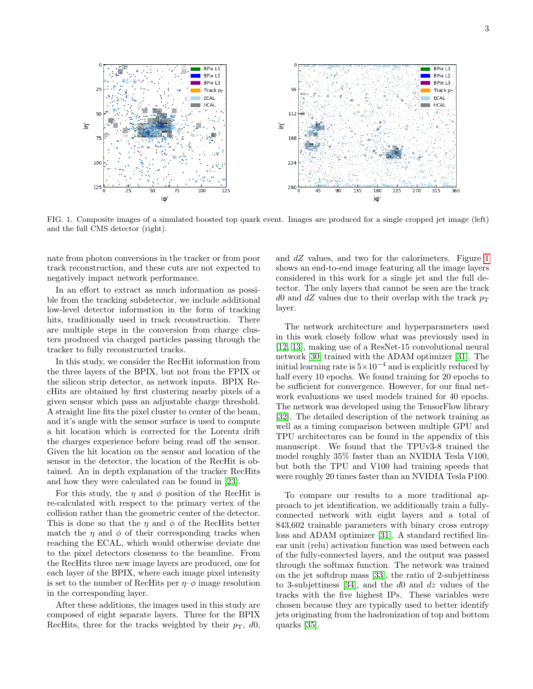

<span id="page-2-0"></span>FIG. 1. Composite images of a simulated boosted top quark event. Images are produced for a single cropped jet image (left) and the full CMS detector (right).

nate from photon conversions in the tracker or from poor track reconstruction, and these cuts are not expected to negatively impact network performance.

In an effort to extract as much information as possible from the tracking subdetector, we include additional low-level detector information in the form of tracking hits, traditionally used in track reconstruction. There are multiple steps in the conversion from charge clusters produced via charged particles passing through the tracker to fully reconstructed tracks.

In this study, we consider the RecHit information from the three layers of the BPIX, but not from the FPIX or the silicon strip detector, as network inputs. BPIX RecHits are obtained by first clustering nearby pixels of a given sensor which pass an adjustable charge threshold. A straight line fits the pixel cluster to center of the beam, and it's angle with the sensor surface is used to compute a hit location which is corrected for the Lorentz drift the charges experience before being read off the sensor. Given the hit location on the sensor and location of the sensor in the detector, the location of the RecHit is obtained. An in depth explanation of the tracker RecHits and how they were calculated can be found in [\[23\]](#page-7-12).

For this study, the  $\eta$  and  $\phi$  position of the RecHit is re-calculated with respect to the primary vertex of the collision rather than the geometric center of the detector. This is done so that the  $\eta$  and  $\phi$  of the RecHits better match the  $\eta$  and  $\phi$  of their corresponding tracks when reaching the ECAL, which would otherwise deviate due to the pixel detectors closeness to the beamline. From the RecHits three new image layers are produced, one for each layer of the BPIX, where each image pixel intensity is set to the number of RecHits per  $\eta$ – $\phi$  image resolution in the corresponding layer.

After these additions, the images used in this study are composed of eight separate layers. Three for the BPIX RecHits, three for the tracks weighted by their  $p_T$ , d0,

and dZ values, and two for the calorimeters. Figure [1](#page-2-0) shows an end-to-end image featuring all the image layers considered in this work for a single jet and the full detector. The only layers that cannot be seen are the track d0 and dZ values due to their overlap with the track  $p_T$ layer.

The network architecture and hyperparameters used in this work closely follow what was previously used in [\[12,](#page-7-2) [13\]](#page-7-3), making use of a ResNet-15 convolutional neural network [\[30\]](#page-7-19) trained with the ADAM optimizer [\[31\]](#page-7-20). The initial learning rate is  $5 \times 10^{-4}$  and is explicitly reduced by half every 10 epochs. We found training for 20 epochs to be sufficient for convergence. However, for our final network evaluations we used models trained for 40 epochs. The network was developed using the TensorFlow library [\[32\]](#page-7-21). The detailed description of the network training as well as a timing comparison between multiple GPU and TPU architectures can be found in the appendix of this manuscript. We found that the TPUv3-8 trained the model roughly 35% faster than an NVIDIA Tesla V100, but both the TPU and V100 had training speeds that were roughly 20 times faster than an NVIDIA Tesla P100.

To compare our results to a more traditional approach to jet identification, we additionally train a fullyconnected network with eight layers and a total of 843,602 trainable parameters with binary cross entropy loss and ADAM optimizer [\[31\]](#page-7-20). A standard rectified linear unit (relu) activation function was used between each of the fully-connected layers, and the output was passed through the softmax function. The network was trained on the jet softdrop mass [\[33\]](#page-7-22), the ratio of 2-subjettiness to 3-subjettiness [\[34\]](#page-7-23), and the d0 and dz values of the tracks with the five highest IPs. These variables were chosen because they are typically used to better identify jets originating from the hadronization of top and bottom quarks [\[35\]](#page-7-24).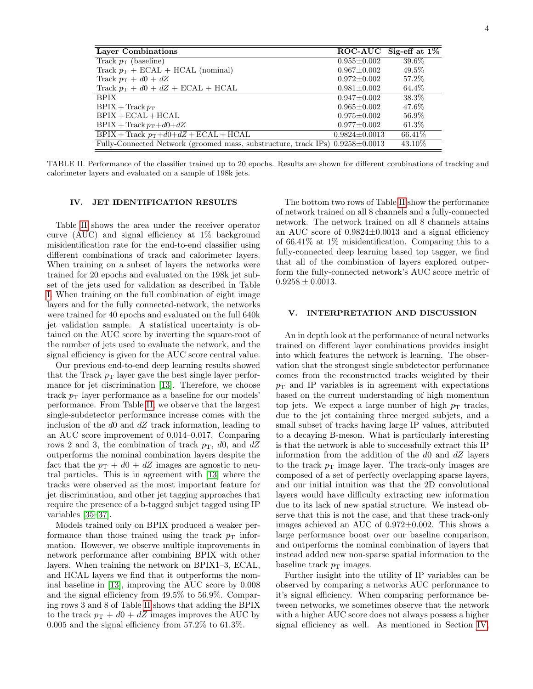|                   | ROC-AUC Sig-eff at $1\%$                                                                                   |
|-------------------|------------------------------------------------------------------------------------------------------------|
| $0.955 \pm 0.002$ | 39.6%                                                                                                      |
| $0.967 + 0.002$   | 49.5%                                                                                                      |
| $0.972 \pm 0.002$ | 57.2%                                                                                                      |
| $0.981 \pm 0.002$ | 64.4\%                                                                                                     |
| $0.947 \pm 0.002$ | 38.3%                                                                                                      |
| $0.965 + 0.002$   | 47.6%                                                                                                      |
| $0.975 \pm 0.002$ | 56.9%                                                                                                      |
| $0.977 \pm 0.002$ | 61.3%                                                                                                      |
|                   | 66.41\%                                                                                                    |
|                   | 43.10\%                                                                                                    |
|                   | $0.9824 \pm 0.0013$<br>Fully-Connected Network (groomed mass, substructure, track IPs) $0.9258 \pm 0.0013$ |

<span id="page-3-0"></span>TABLE II. Performance of the classifier trained up to 20 epochs. Results are shown for different combinations of tracking and calorimeter layers and evaluated on a sample of 198k jets.

# <span id="page-3-1"></span>IV. JET IDENTIFICATION RESULTS

Table [II](#page-3-0) shows the area under the receiver operator curve (AUC) and signal efficiency at 1% background misidentification rate for the end-to-end classifier using different combinations of track and calorimeter layers. When training on a subset of layers the networks were trained for 20 epochs and evaluated on the 198k jet subset of the jets used for validation as described in Table [I.](#page-1-0) When training on the full combination of eight image layers and for the fully connected-network, the networks were trained for 40 epochs and evaluated on the full 640k jet validation sample. A statistical uncertainty is obtained on the AUC score by inverting the square-root of the number of jets used to evaluate the network, and the signal efficiency is given for the AUC score central value.

Our previous end-to-end deep learning results showed that the Track  $p_T$  layer gave the best single layer performance for jet discrimination [\[13\]](#page-7-3). Therefore, we choose track  $p_T$  layer performance as a baseline for our models' performance. From Table [II,](#page-3-0) we observe that the largest single-subdetector performance increase comes with the inclusion of the  $d0$  and  $dZ$  track information, leading to an AUC score improvement of 0.014–0.017. Comparing rows 2 and 3, the combination of track  $p_T$ , d0, and dZ outperforms the nominal combination layers despite the fact that the  $p_T + d0 + dZ$  images are agnostic to neutral particles. This is in agreement with [\[13\]](#page-7-3) where the tracks were observed as the most important feature for jet discrimination, and other jet tagging approaches that require the presence of a b-tagged subjet tagged using IP variables [\[35–](#page-7-24)[37\]](#page-7-25).

Models trained only on BPIX produced a weaker performance than those trained using the track  $p<sub>T</sub>$  information. However, we observe multiple improvements in network performance after combining BPIX with other layers. When training the network on BPIX1–3, ECAL, and HCAL layers we find that it outperforms the nominal baseline in [\[13\]](#page-7-3), improving the AUC score by 0.008 and the signal efficiency from 49.5% to 56.9%. Comparing rows 3 and 8 of Table [II](#page-3-0) shows that adding the BPIX to the track  $p_T + d0 + dZ$  images improves the AUC by 0.005 and the signal efficiency from 57.2% to 61.3%.

The bottom two rows of Table [II](#page-3-0) show the performance of network trained on all 8 channels and a fully-connected network. The network trained on all 8 channels attains an AUC score of 0.9824±0.0013 and a signal efficiency of 66.41% at 1% misidentification. Comparing this to a fully-connected deep learning based top tagger, we find that all of the combination of layers explored outperform the fully-connected network's AUC score metric of  $0.9258 \pm 0.0013$ .

## V. INTERPRETATION AND DISCUSSION

An in depth look at the performance of neural networks trained on different layer combinations provides insight into which features the network is learning. The observation that the strongest single subdetector performance comes from the reconstructed tracks weighted by their  $p_T$  and IP variables is in agreement with expectations based on the current understanding of high momentum top jets. We expect a large number of high  $p<sub>T</sub>$  tracks, due to the jet containing three merged subjets, and a small subset of tracks having large IP values, attributed to a decaying B-meson. What is particularly interesting is that the network is able to successfully extract this IP information from the addition of the  $d0$  and  $dZ$  layers to the track  $p_T$  image layer. The track-only images are composed of a set of perfectly overlapping sparse layers, and our initial intuition was that the 2D convolutional layers would have difficulty extracting new information due to its lack of new spatial structure. We instead observe that this is not the case, and that these track-only images achieved an AUC of 0.972±0.002. This shows a large performance boost over our baseline comparison, and outperforms the nominal combination of layers that instead added new non-sparse spatial information to the baseline track  $p<sub>T</sub>$  images.

Further insight into the utility of IP variables can be observed by comparing a networks AUC performance to it's signal efficiency. When comparing performance between networks, we sometimes observe that the network with a higher AUC score does not always possess a higher signal efficiency as well. As mentioned in Section [IV,](#page-3-1)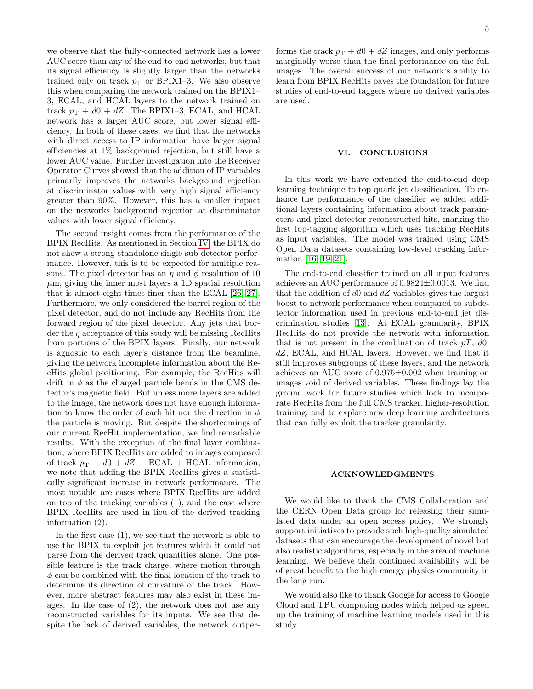we observe that the fully-connected network has a lower AUC score than any of the end-to-end networks, but that its signal efficiency is slightly larger than the networks trained only on track  $p_T$  or BPIX1–3. We also observe this when comparing the network trained on the BPIX1– 3, ECAL, and HCAL layers to the network trained on track  $p_T + d0 + dZ$ . The BPIX1–3, ECAL, and HCAL network has a larger AUC score, but lower signal efficiency. In both of these cases, we find that the networks with direct access to IP information have larger signal efficiencies at 1% background rejection, but still have a lower AUC value. Further investigation into the Receiver Operator Curves showed that the addition of IP variables primarily improves the networks background rejection at discriminator values with very high signal efficiency greater than 90%. However, this has a smaller impact on the networks background rejection at discriminator values with lower signal efficiency.

The second insight comes from the performance of the BPIX RecHits. As mentioned in Section [IV,](#page-3-1) the BPIX do not show a strong standalone single sub-detector performance. However, this is to be expected for multiple reasons. The pixel detector has an  $\eta$  and  $\phi$  resolution of 10  $\mu$ m, giving the inner most layers a 1D spatial resolution that is almost eight times finer than the ECAL [\[26,](#page-7-15) [27\]](#page-7-16). Furthermore, we only considered the barrel region of the pixel detector, and do not include any RecHits from the forward region of the pixel detector. Any jets that border the  $\eta$  acceptance of this study will be missing RecHits from portions of the BPIX layers. Finally, our network is agnostic to each layer's distance from the beamline, giving the network incomplete information about the RecHits global positioning. For example, the RecHits will drift in  $\phi$  as the charged particle bends in the CMS detector's magnetic field. But unless more layers are added to the image, the network does not have enough information to know the order of each hit nor the direction in  $\phi$ the particle is moving. But despite the shortcomings of our current RecHit implementation, we find remarkable results. With the exception of the final layer combination, where BPIX RecHits are added to images composed of track  $p_T + d0 + dZ + ECAL + HCAL$  information, we note that adding the BPIX RecHits gives a statistically significant increase in network performance. The most notable are cases where BPIX RecHits are added on top of the tracking variables (1), and the case where BPIX RecHits are used in lieu of the derived tracking information (2).

In the first case (1), we see that the network is able to use the BPIX to exploit jet features which it could not parse from the derived track quantities alone. One possible feature is the track charge, where motion through  $\phi$  can be combined with the final location of the track to determine its direction of curvature of the track. However, more abstract features may also exist in these images. In the case of (2), the network does not use any reconstructed variables for its inputs. We see that despite the lack of derived variables, the network outper-

forms the track  $p_T + d0 + dZ$  images, and only performs marginally worse than the final performance on the full images. The overall success of our network's ability to learn from BPIX RecHits paves the foundation for future studies of end-to-end taggers where no derived variables are used.

#### VI. CONCLUSIONS

In this work we have extended the end-to-end deep learning technique to top quark jet classification. To enhance the performance of the classifier we added additional layers containing information about track parameters and pixel detector reconstructed hits, marking the first top-tagging algorithm which uses tracking RecHits as input variables. The model was trained using CMS Open Data datasets containing low-level tracking information [\[16,](#page-7-6) [19–](#page-7-9)[21\]](#page-7-10).

The end-to-end classifier trained on all input features achieves an AUC performance of 0.9824±0.0013. We find that the addition of  $d0$  and  $dZ$  variables gives the largest boost to network performance when compared to subdetector information used in previous end-to-end jet discrimination studies [\[13\]](#page-7-3). At ECAL granularity, BPIX RecHits do not provide the network with information that is not present in the combination of track  $pT$ , d0, dZ, ECAL, and HCAL layers. However, we find that it still improves subgroups of these layers, and the network achieves an AUC score of 0.975±0.002 when training on images void of derived variables. These findings lay the ground work for future studies which look to incorporate RecHits from the full CMS tracker, higher-resolution training, and to explore new deep learning architectures that can fully exploit the tracker granularity.

## ACKNOWLEDGMENTS

We would like to thank the CMS Collaboration and the CERN Open Data group for releasing their simulated data under an open access policy. We strongly support initiatives to provide such high-quality simulated datasets that can encourage the development of novel but also realistic algorithms, especially in the area of machine learning. We believe their continued availability will be of great benefit to the high energy physics community in the long run.

We would also like to thank Google for access to Google Cloud and TPU computing nodes which helped us speed up the training of machine learning models used in this study.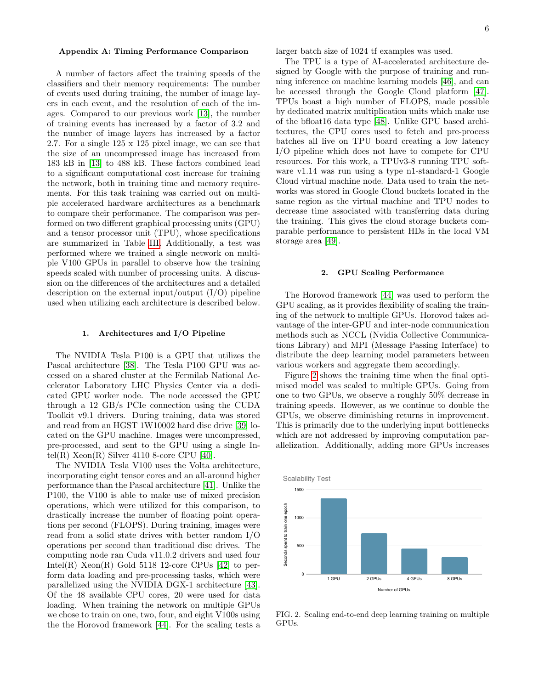#### Appendix A: Timing Performance Comparison

A number of factors affect the training speeds of the classifiers and their memory requirements: The number of events used during training, the number of image layers in each event, and the resolution of each of the images. Compared to our previous work [\[13\]](#page-7-3), the number of training events has increased by a factor of 3.2 and the number of image layers has increased by a factor 2.7. For a single 125 x 125 pixel image, we can see that the size of an uncompressed image has increased from 183 kB in [\[13\]](#page-7-3) to 488 kB. These factors combined lead to a significant computational cost increase for training the network, both in training time and memory requirements. For this task training was carried out on multiple accelerated hardware architectures as a benchmark to compare their performance. The comparison was performed on two different graphical processing units (GPU) and a tensor processor unit (TPU), whose specifications are summarized in Table [III.](#page-6-3) Additionally, a test was performed where we trained a single network on multiple V100 GPUs in parallel to observe how the training speeds scaled with number of processing units. A discussion on the differences of the architectures and a detailed description on the external input/output  $(I/O)$  pipeline used when utilizing each architecture is described below.

## 1. Architectures and I/O Pipeline

The NVIDIA Tesla P100 is a GPU that utilizes the Pascal architecture [\[38\]](#page-7-26). The Tesla P100 GPU was accessed on a shared cluster at the Fermilab National Accelerator Laboratory LHC Physics Center via a dedicated GPU worker node. The node accessed the GPU through a 12 GB/s PCIe connection using the CUDA Toolkit v9.1 drivers. During training, data was stored and read from an HGST 1W10002 hard disc drive [\[39\]](#page-7-27) located on the GPU machine. Images were uncompressed, pre-processed, and sent to the GPU using a single Intel(R)  $Xeon(R)$  Silver 4110 8-core CPU [\[40\]](#page-7-28).

The NVIDIA Tesla V100 uses the Volta architecture, incorporating eight tensor cores and an all-around higher performance than the Pascal architecture [\[41\]](#page-7-29). Unlike the P100, the V100 is able to make use of mixed precision operations, which were utilized for this comparison, to drastically increase the number of floating point operations per second (FLOPS). During training, images were read from a solid state drives with better random I/O operations per second than traditional disc drives. The computing node ran Cuda v11.0.2 drivers and used four Intel(R)  $Xeon(R)$  Gold 5118 12-core CPUs [\[42\]](#page-8-0) to perform data loading and pre-processing tasks, which were parallelized using the NVIDIA DGX-1 architecture [\[43\]](#page-8-1). Of the 48 available CPU cores, 20 were used for data loading. When training the network on multiple GPUs we chose to train on one, two, four, and eight V100s using the the Horovod framework [\[44\]](#page-8-2). For the scaling tests a

larger batch size of 1024 tf examples was used.

The TPU is a type of AI-accelerated architecture designed by Google with the purpose of training and running inference on machine learning models [\[46\]](#page-8-3), and can be accessed through the Google Cloud platform [\[47\]](#page-8-4). TPUs boast a high number of FLOPS, made possible by dedicated matrix multiplication units which make use of the bfloat16 data type [\[48\]](#page-8-5). Unlike GPU based architectures, the CPU cores used to fetch and pre-process batches all live on TPU board creating a low latency I/O pipeline which does not have to compete for CPU resources. For this work, a TPUv3-8 running TPU software v1.14 was run using a type n1-standard-1 Google Cloud virtual machine node. Data used to train the networks was stored in Google Cloud buckets located in the same region as the virtual machine and TPU nodes to decrease time associated with transferring data during the training. This gives the cloud storage buckets comparable performance to persistent HDs in the local VM storage area [\[49\]](#page-8-6).

#### 2. GPU Scaling Performance

The Horovod framework [\[44\]](#page-8-2) was used to perform the GPU scaling, as it provides flexibility of scaling the training of the network to multiple GPUs. Horovod takes advantage of the inter-GPU and inter-node communication methods such as NCCL (Nvidia Collective Communications Library) and MPI (Message Passing Interface) to distribute the deep learning model parameters between various workers and aggregate them accordingly.

Figure [2](#page-5-0) shows the training time when the final optimised model was scaled to multiple GPUs. Going from one to two GPUs, we observe a roughly 50% decrease in training speeds. However, as we continue to double the GPUs, we observe diminishing returns in improvement. This is primarily due to the underlying input bottlenecks which are not addressed by improving computation parallelization. Additionally, adding more GPUs increases



<span id="page-5-0"></span>FIG. 2. Scaling end-to-end deep learning training on multiple GPUs.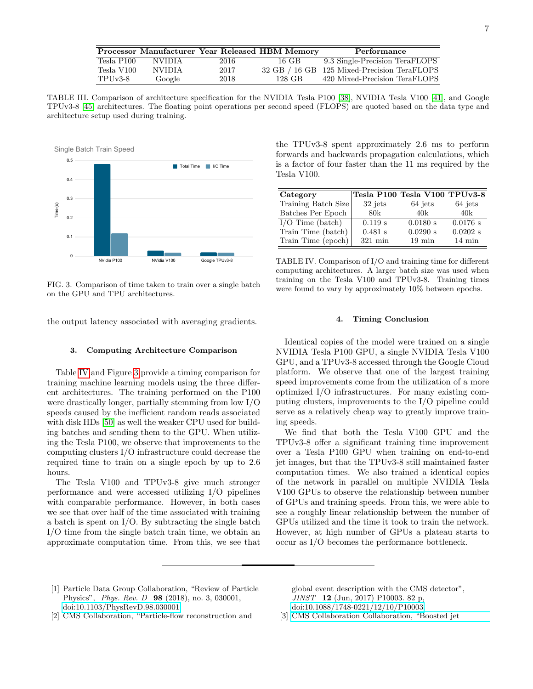|            |        |      | Processor Manufacturer Year Released HBM Memory | Performance                                 |
|------------|--------|------|-------------------------------------------------|---------------------------------------------|
| Tesla P100 | NVIDIA | 2016 | 16 GB                                           | 9.3 Single-Precision TeraFLOPS              |
| Tesla V100 | NVIDIA | 2017 |                                                 | 32 GB / 16 GB 125 Mixed-Precision TeraFLOPS |

TABLE III. Comparison of architecture specification for the NVIDIA Tesla P100 [\[38\]](#page-7-26), NVIDIA Tesla V100 [\[41\]](#page-7-29), and Google TPUv3-8 [\[45\]](#page-8-7) architectures. The floating point operations per second speed (FLOPS) are quoted based on the data type and architecture setup used during training.

<span id="page-6-3"></span>TPUv3-8 Google 2018 128 GB 420 Mixed-Precision TeraFLOPS



<span id="page-6-5"></span>FIG. 3. Comparison of time taken to train over a single batch on the GPU and TPU architectures.

the output latency associated with averaging gradients.

#### 3. Computing Architecture Comparison

Table [IV](#page-6-4) and Figure [3](#page-6-5) provide a timing comparison for training machine learning models using the three different architectures. The training performed on the P100 were drastically longer, partially stemming from low I/O speeds caused by the inefficient random reads associated with disk HDs [\[50\]](#page-8-8) as well the weaker CPU used for building batches and sending them to the GPU. When utilizing the Tesla P100, we observe that improvements to the computing clusters I/O infrastructure could decrease the required time to train on a single epoch by up to 2.6 hours.

The Tesla V100 and TPUv3-8 give much stronger performance and were accessed utilizing I/O pipelines with comparable performance. However, in both cases we see that over half of the time associated with training a batch is spent on I/O. By subtracting the single batch I/O time from the single batch train time, we obtain an approximate computation time. From this, we see that

the TPUv3-8 spent approximately 2.6 ms to perform forwards and backwards propagation calculations, which is a factor of four faster than the 11 ms required by the Tesla V100.

| Category            |                   | Tesla P100 Tesla V100 TPUv3-8 |                  |
|---------------------|-------------------|-------------------------------|------------------|
| Training Batch Size | $32$ jets         | 64 jets                       | 64 jets          |
| Batches Per Epoch   | 80k               | 40k                           | 40k              |
| $I/O$ Time (batch)  | 0.119 s           | 0.0180 s                      | 0.0176 s         |
| Train Time (batch)  | $0.481$ s         | 0.0290 s                      | $0.0202$ s       |
| Train Time (epoch)  | $321 \text{ min}$ | $19 \text{ min}$              | $14 \text{ min}$ |

<span id="page-6-4"></span>TABLE IV. Comparison of I/O and training time for different computing architectures. A larger batch size was used when training on the Tesla V100 and TPUv3-8. Training times were found to vary by approximately 10% between epochs.

### 4. Timing Conclusion

Identical copies of the model were trained on a single NVIDIA Tesla P100 GPU, a single NVIDIA Tesla V100 GPU, and a TPUv3-8 accessed through the Google Cloud platform. We observe that one of the largest training speed improvements come from the utilization of a more optimized I/O infrastructures. For many existing computing clusters, improvements to the I/O pipeline could serve as a relatively cheap way to greatly improve training speeds.

We find that both the Tesla V100 GPU and the TPUv3-8 offer a significant training time improvement over a Tesla P100 GPU when training on end-to-end jet images, but that the TPUv3-8 still maintained faster computation times. We also trained a identical copies of the network in parallel on multiple NVIDIA Tesla V100 GPUs to observe the relationship between number of GPUs and training speeds. From this, we were able to see a roughly linear relationship between the number of GPUs utilized and the time it took to train the network. However, at high number of GPUs a plateau starts to occur as I/O becomes the performance bottleneck.

- <span id="page-6-0"></span>[1] Particle Data Group Collaboration, "Review of Particle Physics", Phys. Rev. D 98 (2018), no. 3, 030001, [doi:10.1103/PhysRevD.98.030001.](http://dx.doi.org/10.1103/PhysRevD.98.030001)
- <span id="page-6-1"></span>[2] CMS Collaboration, "Particle-flow reconstruction and

global event description with the CMS detector", JINST 12 (Jun, 2017) P10003. 82 p, [doi:10.1088/1748-0221/12/10/P10003.](http://dx.doi.org/10.1088/1748-0221/12/10/P10003)

<span id="page-6-2"></span>[3] [CMS Collaboration Collaboration, "Boosted jet](http://cds.cern.ch/record/2295725)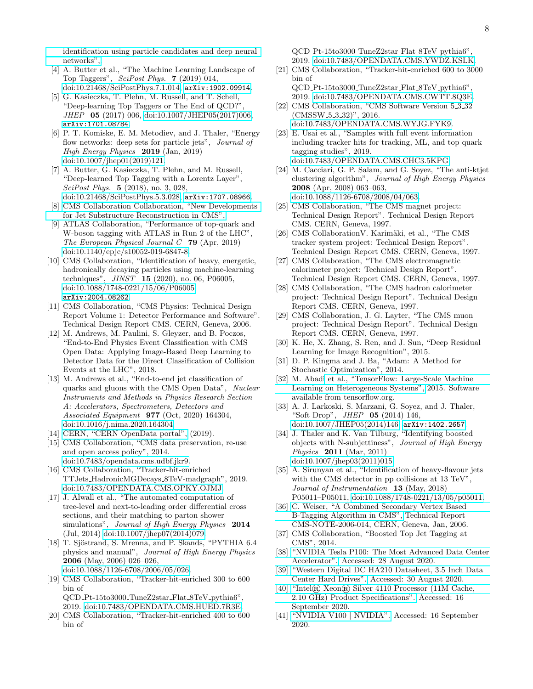[identification using particle candidates and deep neural](http://cds.cern.ch/record/2295725) [networks",.](http://cds.cern.ch/record/2295725)

- [4] A. Butter et al., "The Machine Learning Landscape of Top Taggers", SciPost Phys. 7 (2019) 014, [doi:10.21468/SciPostPhys.7.1.014,](http://dx.doi.org/10.21468/SciPostPhys.7.1.014) [arXiv:1902.09914](http://www.arXiv.org/abs/1902.09914).
- [5] G. Kasieczka, T. Plehn, M. Russell, and T. Schell, "Deep-learning Top Taggers or The End of QCD?", JHEP 05 (2017) 006, [doi:10.1007/JHEP05\(2017\)006,](http://dx.doi.org/10.1007/JHEP05(2017)006) [arXiv:1701.08784](http://www.arXiv.org/abs/1701.08784).
- [6] P. T. Komiske, E. M. Metodiev, and J. Thaler, "Energy flow networks: deep sets for particle jets", *Journal of* High Energy Physics 2019 (Jan, 2019) [doi:10.1007/jhep01\(2019\)121.](http://dx.doi.org/10.1007/jhep01(2019)121)
- [7] A. Butter, G. Kasieczka, T. Plehn, and M. Russell, "Deep-learned Top Tagging with a Lorentz Layer", SciPost Phys. 5 (2018), no. 3, 028, [doi:10.21468/SciPostPhys.5.3.028,](http://dx.doi.org/10.21468/SciPostPhys.5.3.028) [arXiv:1707.08966](http://www.arXiv.org/abs/1707.08966).
- [8] [CMS Collaboration Collaboration, "New Developments](https://cds.cern.ch/record/2275226) [for Jet Substructure Reconstruction in CMS",.](https://cds.cern.ch/record/2275226)
- [9] ATLAS Collaboration, "Performance of top-quark and W-boson tagging with ATLAS in Run 2 of the LHC", The European Physical Journal  $C$  79 (Apr, 2019) [doi:10.1140/epjc/s10052-019-6847-8.](http://dx.doi.org/10.1140/epjc/s10052-019-6847-8)
- <span id="page-7-0"></span>[10] CMS Collaboration, "Identification of heavy, energetic, hadronically decaying particles using machine-learning techniques", JINST 15 (2020), no. 06, P06005, [doi:10.1088/1748-0221/15/06/P06005,](http://dx.doi.org/10.1088/1748-0221/15/06/P06005) [arXiv:2004.08262](http://www.arXiv.org/abs/2004.08262).
- <span id="page-7-1"></span>[11] CMS Collaboration, "CMS Physics: Technical Design Report Volume 1: Detector Performance and Software". Technical Design Report CMS. CERN, Geneva, 2006.
- <span id="page-7-2"></span>[12] M. Andrews, M. Paulini, S. Gleyzer, and B. Poczos, "End-to-End Physics Event Classification with CMS Open Data: Applying Image-Based Deep Learning to Detector Data for the Direct Classification of Collision Events at the LHC", 2018.
- <span id="page-7-3"></span>[13] M. Andrews et al., "End-to-end jet classification of quarks and gluons with the CMS Open Data", Nuclear Instruments and Methods in Physics Research Section A: Accelerators, Spectrometers, Detectors and Associated Equipment 977 (Oct, 2020) 164304, [doi:10.1016/j.nima.2020.164304.](http://dx.doi.org/10.1016/j.nima.2020.164304)
- <span id="page-7-4"></span>[14] [CERN, "CERN OpenData portal",](http://opendata.cern.ch) (2019).
- <span id="page-7-5"></span>[15] CMS Collaboration, "CMS data preservation, re-use and open access policy", 2014. [doi:10.7483/opendata.cms.udbf.jkr9.](http://dx.doi.org/10.7483/opendata.cms.udbf.jkr9)
- <span id="page-7-6"></span>[16] CMS Collaboration, "Tracker-hit-enriched TTJets HadronicMGDecays 8TeV-madgraph", 2019. [doi:10.7483/OPENDATA.CMS.OPKY.OJMJ.](http://dx.doi.org/10.7483/OPENDATA.CMS.OPKY.OJMJ)
- <span id="page-7-7"></span>[17] J. Alwall et al., "The automated computation of tree-level and next-to-leading order differential cross sections, and their matching to parton shower simulations", Journal of High Energy Physics 2014 (Jul, 2014) [doi:10.1007/jhep07\(2014\)079.](http://dx.doi.org/10.1007/jhep07(2014)079)
- <span id="page-7-8"></span>[18] T. Sjöstrand, S. Mrenna, and P. Skands, "PYTHIA 6.4 physics and manual", Journal of High Energy Physics 2006 (May, 2006) 026–026, [doi:10.1088/1126-6708/2006/05/026.](http://dx.doi.org/10.1088/1126-6708/2006/05/026)
- <span id="page-7-9"></span>[19] CMS Collaboration, "Tracker-hit-enriched 300 to 600 bin of QCD Pt-15to3000 TuneZ2star Flat 8TeV pythia6",
- 2019. [doi:10.7483/OPENDATA.CMS.HUED.7R3E.](http://dx.doi.org/10.7483/OPENDATA.CMS.HUED.7R3E) [20] CMS Collaboration, "Tracker-hit-enriched 400 to 600
- bin of

QCD Pt-15to3000 TuneZ2star Flat 8TeV pythia6", 2019. [doi:10.7483/OPENDATA.CMS.YWDZ.KSLK.](http://dx.doi.org/10.7483/OPENDATA.CMS.YWDZ.KSLK)

- <span id="page-7-10"></span>[21] CMS Collaboration, "Tracker-hit-enriched 600 to 3000 bin of QCD Pt-15to3000 TuneZ2star Flat 8TeV pythia6",
- <span id="page-7-11"></span>2019. [doi:10.7483/OPENDATA.CMS.CWTT.8Q3E.](http://dx.doi.org/10.7483/OPENDATA.CMS.CWTT.8Q3E) [22] CMS Collaboration, "CMS Software Version 5<sub>-3-32</sub> (CMSSW<sub>-5-3-32</sub>)", 2016. [doi:10.7483/OPENDATA.CMS.WYJG.FYK9.](http://dx.doi.org/10.7483/OPENDATA.CMS.WYJG.FYK9)
- <span id="page-7-12"></span>[23] E. Usai et al., "Samples with full event information including tracker hits for tracking, ML, and top quark tagging studies", 2019. [doi:10.7483/OPENDATA.CMS.CHC3.5KPG.](http://dx.doi.org/10.7483/OPENDATA.CMS.CHC3.5KPG)
- <span id="page-7-13"></span>[24] M. Cacciari, G. P. Salam, and G. Soyez, "The anti-ktjet clustering algorithm", Journal of High Energy Physics 2008 (Apr, 2008) 063–063, [doi:10.1088/1126-6708/2008/04/063.](http://dx.doi.org/10.1088/1126-6708/2008/04/063)
- <span id="page-7-14"></span>[25] CMS Collaboration, "The CMS magnet project: Technical Design Report". Technical Design Report CMS. CERN, Geneva, 1997.
- <span id="page-7-15"></span>[26] CMS Collaboration V. Karimäki, et al., "The CMS tracker system project: Technical Design Report". Technical Design Report CMS. CERN, Geneva, 1997.
- <span id="page-7-16"></span>[27] CMS Collaboration, "The CMS electromagnetic calorimeter project: Technical Design Report". Technical Design Report CMS. CERN, Geneva, 1997.
- <span id="page-7-17"></span>[28] CMS Collaboration, "The CMS hadron calorimeter project: Technical Design Report". Technical Design Report CMS. CERN, Geneva, 1997.
- <span id="page-7-18"></span>[29] CMS Collaboration, J. G. Layter, "The CMS muon project: Technical Design Report". Technical Design Report CMS. CERN, Geneva, 1997.
- <span id="page-7-19"></span>[30] K. He, X. Zhang, S. Ren, and J. Sun, "Deep Residual Learning for Image Recognition", 2015.
- <span id="page-7-20"></span>[31] D. P. Kingma and J. Ba, "Adam: A Method for Stochastic Optimization", 2014.
- <span id="page-7-21"></span>[32] M. Abad[i et al., "TensorFlow: Large-Scale Machine](http://tensorflow.org/) [Learning on Heterogeneous Systems",](http://tensorflow.org/) 2015. Software available from tensorflow.org.
- <span id="page-7-22"></span>[33] A. J. Larkoski, S. Marzani, G. Soyez, and J. Thaler, "Soft Drop", *JHEP* **05** (2014) 146, [doi:10.1007/JHEP05\(2014\)146,](http://dx.doi.org/10.1007/JHEP05(2014)146) [arXiv:1402.2657](http://www.arXiv.org/abs/1402.2657).
- <span id="page-7-23"></span>[34] J. Thaler and K. Van Tilburg, "Identifying boosted objects with N-subjettiness", Journal of High Energy Physics 2011 (Mar, 2011) [doi:10.1007/jhep03\(2011\)015.](http://dx.doi.org/10.1007/jhep03(2011)015)
- <span id="page-7-24"></span>[35] A. Sirunyan et al., "Identification of heavy-flavour jets with the CMS detector in pp collisions at 13 TeV", Journal of Instrumentation 13 (May, 2018) P05011–P05011, [doi:10.1088/1748-0221/13/05/p05011.](http://dx.doi.org/10.1088/1748-0221/13/05/p05011)
- [36] [C. Weiser, "A Combined Secondary Vertex Based](http://cds.cern.ch/record/927399) [B-Tagging Algorithm in CMS",](http://cds.cern.ch/record/927399) Technical Report CMS-NOTE-2006-014, CERN, Geneva, Jan, 2006.
- <span id="page-7-25"></span>[37] CMS Collaboration, "Boosted Top Jet Tagging at CMS", 2014.
- <span id="page-7-26"></span>[38] ["NVIDIA Tesla P100: The Most Advanced Data Center](https://www.nvidia.com/en-us/data-center/tesla-p100/) [Accelerator".](https://www.nvidia.com/en-us/data-center/tesla-p100/) Accessed: 28 August 2020.
- <span id="page-7-27"></span>[39] ["Western Digital DC HA210 Datasheet, 3.5 Inch Data](https://documents.westerndigital.com/content/dam/doc-library/en_us/assets/public/western-digital/product/data-center-drives/ultrastar-dc-ha200-series/data-sheet-ultrastar-dc-ha210.pdf) [Center Hard Drives".](https://documents.westerndigital.com/content/dam/doc-library/en_us/assets/public/western-digital/product/data-center-drives/ultrastar-dc-ha200-series/data-sheet-ultrastar-dc-ha210.pdf) Accessed: 30 August 2020.
- <span id="page-7-28"></span>[40] "Intel® Xeon® [Silver 4110 Processor \(11M Cache,](https://ark.intel.com/content/www/us/en/ark/products/123547/intel-xeon-silver-4110-processor-11m-cache-2-10-ghz.html) [2.10 GHz\) Product Specifications".](https://ark.intel.com/content/www/us/en/ark/products/123547/intel-xeon-silver-4110-processor-11m-cache-2-10-ghz.html) Accessed: 16 September 2020.
- <span id="page-7-29"></span>[41] ["NVIDIA V100](https://www.nvidia.com/en-us/data-center/v100/) | NVIDIA". Accessed: 16 September 2020.